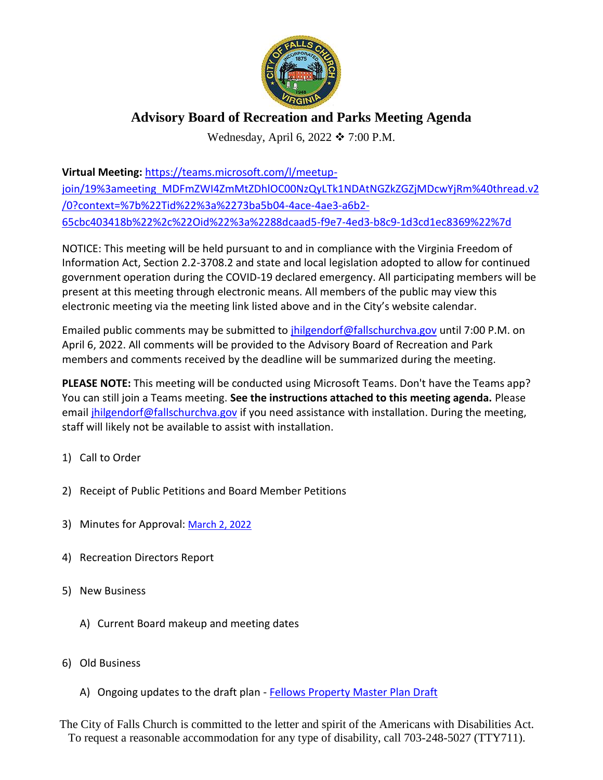

## **Advisory Board of Recreation and Parks Meeting Agenda**

Wednesday, April 6, 2022  $\div$  7:00 P.M.

**Virtual Meeting:** [https://teams.microsoft.com/l/meetup](https://teams.microsoft.com/l/meetup-join/19%3ameeting_MDFmZWI4ZmMtZDhlOC00NzQyLTk1NDAtNGZkZGZjMDcwYjRm%40thread.v2/0?context=%7b%22Tid%22%3a%2273ba5b04-4ace-4ae3-a6b2-65cbc403418b%22%2c%22Oid%22%3a%2288dcaad5-f9e7-4ed3-b8c9-1d3cd1ec8369%22%7d)[join/19%3ameeting\\_MDFmZWI4ZmMtZDhlOC00NzQyLTk1NDAtNGZkZGZjMDcwYjRm%40thread.v2](https://teams.microsoft.com/l/meetup-join/19%3ameeting_MDFmZWI4ZmMtZDhlOC00NzQyLTk1NDAtNGZkZGZjMDcwYjRm%40thread.v2/0?context=%7b%22Tid%22%3a%2273ba5b04-4ace-4ae3-a6b2-65cbc403418b%22%2c%22Oid%22%3a%2288dcaad5-f9e7-4ed3-b8c9-1d3cd1ec8369%22%7d) [/0?context=%7b%22Tid%22%3a%2273ba5b04-4ace-4ae3-a6b2-](https://teams.microsoft.com/l/meetup-join/19%3ameeting_MDFmZWI4ZmMtZDhlOC00NzQyLTk1NDAtNGZkZGZjMDcwYjRm%40thread.v2/0?context=%7b%22Tid%22%3a%2273ba5b04-4ace-4ae3-a6b2-65cbc403418b%22%2c%22Oid%22%3a%2288dcaad5-f9e7-4ed3-b8c9-1d3cd1ec8369%22%7d) [65cbc403418b%22%2c%22Oid%22%3a%2288dcaad5-f9e7-4ed3-b8c9-1d3cd1ec8369%22%7d](https://teams.microsoft.com/l/meetup-join/19%3ameeting_MDFmZWI4ZmMtZDhlOC00NzQyLTk1NDAtNGZkZGZjMDcwYjRm%40thread.v2/0?context=%7b%22Tid%22%3a%2273ba5b04-4ace-4ae3-a6b2-65cbc403418b%22%2c%22Oid%22%3a%2288dcaad5-f9e7-4ed3-b8c9-1d3cd1ec8369%22%7d)

NOTICE: This meeting will be held pursuant to and in compliance with the Virginia Freedom of Information Act, Section 2.2-3708.2 and state and local legislation adopted to allow for continued government operation during the COVID-19 declared emergency. All participating members will be present at this meeting through electronic means. All members of the public may view this electronic meeting via the meeting link listed above and in the City's website calendar.

Emailed public comments may be submitted to [jhilgendorf@fallschurchva.gov](mailto:jhilgendorf@fallschurchva.gov) until 7:00 P.M. on April 6, 2022. All comments will be provided to the Advisory Board of Recreation and Park members and comments received by the deadline will be summarized during the meeting.

**PLEASE NOTE:** This meeting will be conducted using Microsoft Teams. Don't have the Teams app? You can still join a Teams meeting. **See the instructions attached to this meeting agenda.** Please email *ihilgendorf* @fallschurchva.gov if you need assistance with installation. During the meeting, staff will likely not be available to assist with installation.

- 1) Call to Order
- 2) Receipt of Public Petitions and Board Member Petitions
- 3) Minutes for Approval: [March 2, 2022](http://www.fallschurchva.gov/AgendaCenter/ViewFile/Minutes/_03022022-2010)
- 4) Recreation Directors Report
- 5) New Business
	- A) Current Board makeup and meeting dates
- 6) Old Business
	- A) Ongoing updates to the draft plan [Fellows Property Master Plan Draft](https://www.fallschurchva.gov/DocumentCenter/View/15625/FellowsPropertyMPDraft1221)

The City of Falls Church is committed to the letter and spirit of the Americans with Disabilities Act. To request a reasonable accommodation for any type of disability, call 703-248-5027 (TTY711).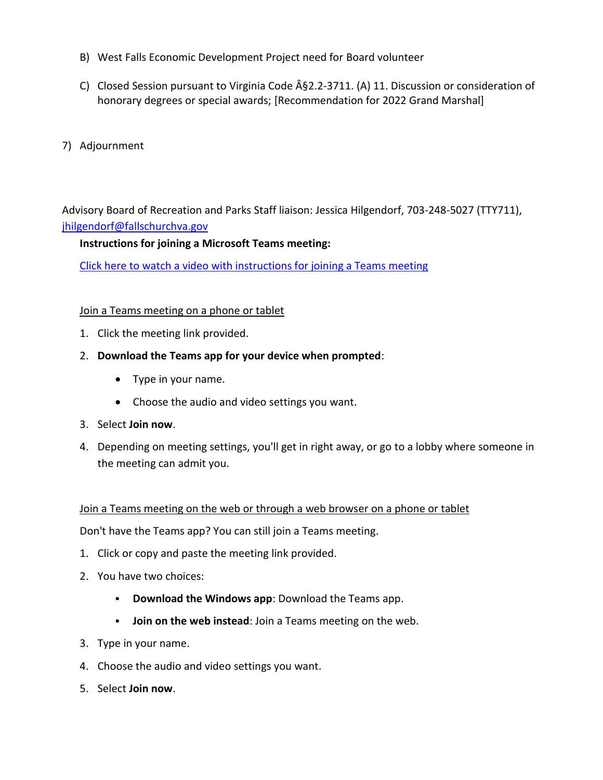- B) West Falls Economic Development Project need for Board volunteer
- C) Closed Session pursuant to Virginia Code  $\hat{A}$ §2.2-3711. (A) 11. Discussion or consideration of honorary degrees or special awards; [Recommendation for 2022 Grand Marshal]
- 7) Adjournment

Advisory Board of Recreation and Parks Staff liaison: Jessica Hilgendorf, 703-248-5027 (TTY711), [jhilgendorf@fallschurchva.gov](mailto:jhilgendorf@fallschurchva.gov)

## **Instructions for joining a Microsoft Teams meeting:**

[Click here to watch a video with instructions for joining a Teams meeting](https://www.microsoft.com/en-us/videoplayer/embed/RE3Oz24?pid=ocpVideo0-innerdiv-oneplayer&postJsllMsg=true&maskLevel=20&market=en-us)

## Join a Teams meeting on a phone or tablet

- 1. Click the meeting link provided.
- 2. **Download the Teams app for your device when prompted**:
	- Type in your name.
	- Choose the audio and video settings you want.
- 3. Select **Join now**.
- 4. Depending on meeting settings, you'll get in right away, or go to a lobby where someone in the meeting can admit you.

## Join a Teams meeting on the web or through a web browser on a phone or tablet

Don't have the Teams app? You can still join a Teams meeting.

- 1. Click or copy and paste the meeting link provided.
- 2. You have two choices:
	- **Download the Windows app**: Download the Teams app.
	- **Join on the web instead**: Join a Teams meeting on the web.
- 3. Type in your name.
- 4. Choose the audio and video settings you want.
- 5. Select **Join now**.